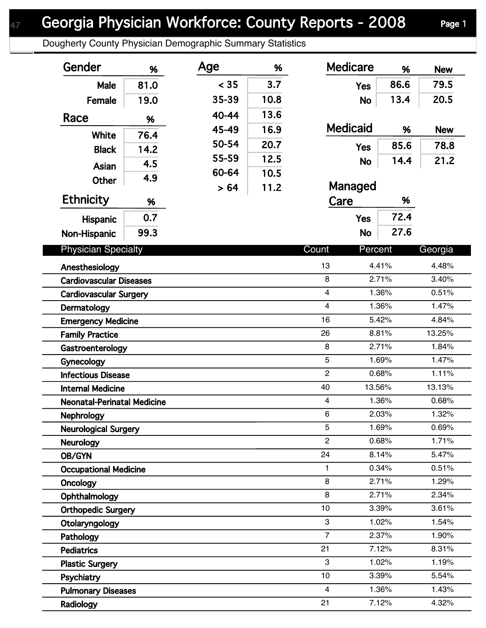Dougherty County Physician Demographic Summary Statistics

| Gender                             | %    | Age   | %    | <b>Medicare</b>         | %              | <b>New</b>     |
|------------------------------------|------|-------|------|-------------------------|----------------|----------------|
| Male                               | 81.0 | < 35  | 3.7  | <b>Yes</b>              | 86.6           | 79.5           |
| Female                             | 19.0 | 35-39 | 10.8 | <b>No</b>               | 13.4           | 20.5           |
| Race                               | %    | 40-44 | 13.6 |                         |                |                |
|                                    |      | 45-49 | 16.9 | <b>Medicaid</b>         | %              | <b>New</b>     |
| <b>White</b>                       | 76.4 | 50-54 | 20.7 | <b>Yes</b>              | 85.6           | 78.8           |
| <b>Black</b>                       | 14.2 | 55-59 | 12.5 | <b>No</b>               | 14.4           | 21.2           |
| Asian                              | 4.5  | 60-64 | 10.5 |                         |                |                |
| Other                              | 4.9  | > 64  | 11.2 | Managed                 |                |                |
| <b>Ethnicity</b>                   | %    |       |      | Care                    | %              |                |
| <b>Hispanic</b>                    | 0.7  |       |      | <b>Yes</b>              | 72.4           |                |
| Non-Hispanic                       | 99.3 |       |      | <b>No</b>               | 27.6           |                |
| <b>Physician Specialty</b>         |      |       |      | Count<br>Percent        |                | Georgia        |
| Anesthesiology                     |      |       |      | 13                      | 4.41%          | 4.48%          |
| <b>Cardiovascular Diseases</b>     |      |       |      | 8                       | 2.71%          | 3.40%          |
| <b>Cardiovascular Surgery</b>      |      |       |      | $\overline{\mathbf{4}}$ | 1.36%          | 0.51%          |
| Dermatology                        |      |       |      | $\overline{4}$          | 1.36%          | 1.47%          |
| <b>Emergency Medicine</b>          |      |       |      | 16                      | 5.42%          | 4.84%          |
| <b>Family Practice</b>             |      |       |      | 26                      | 8.81%          | 13.25%         |
| Gastroenterology                   |      |       |      | 8                       | 2.71%          | 1.84%          |
| Gynecology                         |      |       |      | 5                       | 1.69%          | 1.47%          |
| <b>Infectious Disease</b>          |      |       |      | $\overline{c}$          | 0.68%          | 1.11%          |
| <b>Internal Medicine</b>           |      |       |      | 40<br>13.56%            |                | 13.13%         |
| <b>Neonatal-Perinatal Medicine</b> |      |       |      | 4                       | 1.36%          | 0.68%          |
| <b>Nephrology</b>                  |      |       |      | 6                       | 2.03%          | 1.32%          |
| <b>Neurological Surgery</b>        |      |       |      | 5                       | 1.69%          | 0.69%          |
| <b>Neurology</b>                   |      |       |      | $\overline{2}$          | 0.68%          | 1.71%          |
| OB/GYN                             |      |       |      | 24                      | 8.14%          | 5.47%          |
| <b>Occupational Medicine</b>       |      |       |      | 1                       | 0.34%          | 0.51%          |
| Oncology                           |      |       |      | 8                       | 2.71%          | 1.29%          |
| Ophthalmology                      |      |       |      | 8                       | 2.71%          | 2.34%          |
| <b>Orthopedic Surgery</b>          |      |       |      | $10$                    | 3.39%          | 3.61%          |
| Otolaryngology                     |      |       |      | 3<br>$\overline{7}$     | 1.02%          | 1.54%          |
| Pathology                          |      |       |      | 21                      | 2.37%<br>7.12% | 1.90%          |
| <b>Pediatrics</b>                  |      |       |      | 3                       |                | 8.31%<br>1.19% |
| <b>Plastic Surgery</b>             |      |       |      | 10                      | 1.02%<br>3.39% |                |
| Psychiatry                         |      |       |      | $\overline{\mathbf{4}}$ | 1.36%          | 5.54%<br>1.43% |
| <b>Pulmonary Diseases</b>          |      |       |      | 21                      | 7.12%          | 4.32%          |
| Radiology                          |      |       |      |                         |                |                |